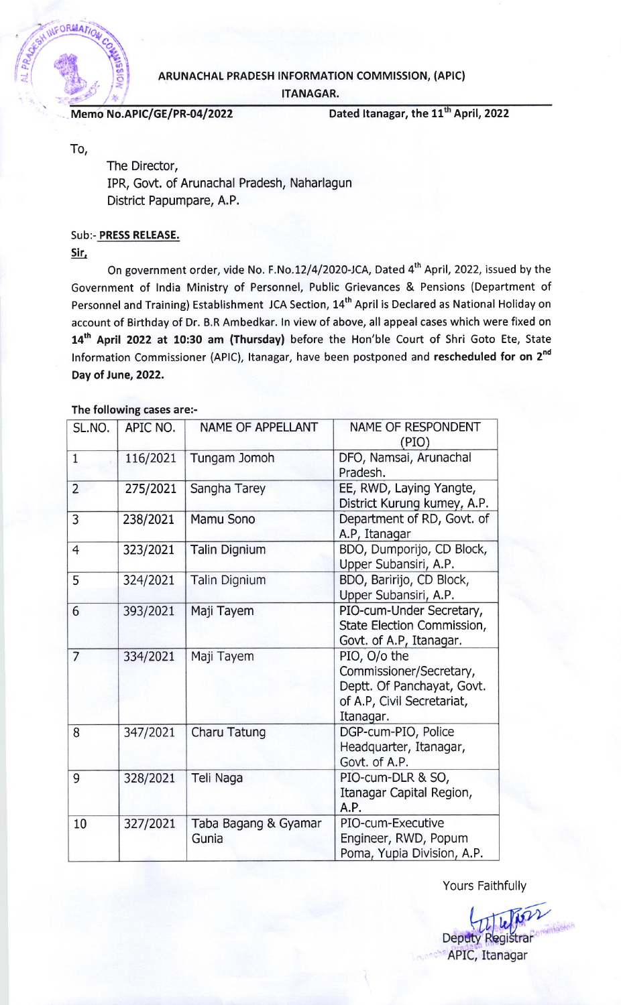ARUNACHAL PRADESH INFORMATION COMMISSION, (APIC)

ITANAGAR.

Memo No.APIC/GE/PR-04/2022

Dated Itanagar, the 11<sup>th</sup> April, 2022

To,

The Director,

IPR, Govt. of Arunachal Pradesh, Naharlagun District Papumpare, A.P.

## Sub:- PRESS RELEASE.

## Sir,

On government order, vide No. F.No.12/4/2020-JCA, Dated 4<sup>th</sup> April, 2022, issued by the Government of India Ministry of Personnel, Public Grievances & Pensions (Department of Personnel and Training) Establishment JCA Section, 14<sup>th</sup> April is Declared as National Holiday on account of Birthday of Dr. B.R Ambedkar. In view of above, all appeal cases which were fixed on 14<sup>th</sup> April 2022 at 10:30 am (Thursday) before the Hon'ble Court of Shri Goto Ete, State Information Commissioner (APIC), Itanagar, have been postponed and rescheduled for on 2<sup>nd</sup> Day of June, 2022.

## The following cases are:-

| SL.NO.         | APIC NO. | <b>NAME OF APPELLANT</b>      | NAME OF RESPONDENT<br>(PIO)                                                                                      |
|----------------|----------|-------------------------------|------------------------------------------------------------------------------------------------------------------|
| $\mathbf{1}$   | 116/2021 | Tungam Jomoh                  | DFO, Namsai, Arunachal<br>Pradesh.                                                                               |
| $\overline{2}$ | 275/2021 | Sangha Tarey                  | EE, RWD, Laying Yangte,<br>District Kurung kumey, A.P.                                                           |
| 3              | 238/2021 | Mamu Sono                     | Department of RD, Govt. of<br>A.P, Itanagar                                                                      |
| $\overline{4}$ | 323/2021 | <b>Talin Dignium</b>          | BDO, Dumporijo, CD Block,<br>Upper Subansiri, A.P.                                                               |
| 5              | 324/2021 | Talin Dignium                 | BDO, Baririjo, CD Block,<br>Upper Subansiri, A.P.                                                                |
| 6              | 393/2021 | Maji Tayem                    | PIO-cum-Under Secretary,<br>State Election Commission,<br>Govt. of A.P, Itanagar.                                |
| $\overline{7}$ | 334/2021 | Maji Tayem                    | PIO, O/o the<br>Commissioner/Secretary,<br>Deptt. Of Panchayat, Govt.<br>of A.P, Civil Secretariat,<br>Itanagar. |
| 8              | 347/2021 | Charu Tatung                  | DGP-cum-PIO, Police<br>Headquarter, Itanagar,<br>Govt. of A.P.                                                   |
| 9              | 328/2021 | Teli Naga                     | PIO-cum-DLR & SO,<br>Itanagar Capital Region,<br>A.P.                                                            |
| 10             | 327/2021 | Taba Bagang & Gyamar<br>Gunia | PIO-cum-Executive<br>Engineer, RWD, Popum<br>Poma, Yupia Division, A.P.                                          |

Yours Faithfully

**Deputy Regis** APIC, Itanagar